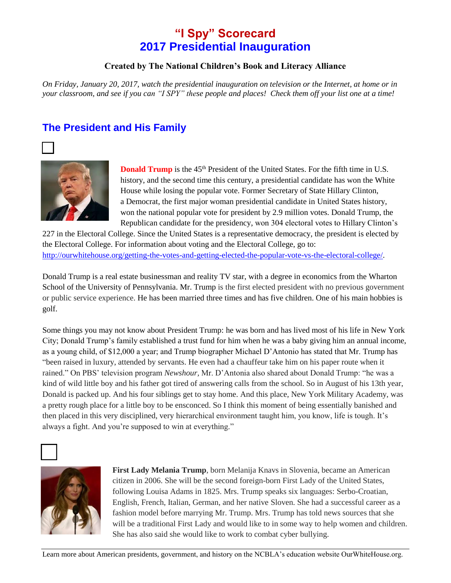# **"I Spy" Scorecard 2017 Presidential Inauguration**

#### **Created by The National Children's Book and Literacy Alliance**

*On Friday, January 20, 2017, watch the presidential inauguration on television or the Internet, at home or in your classroom, and see if you can "I SPY" these people and places! Check them off your list one at a time!*

## **The President and His Family**





**Donald Trump** is the 45<sup>th</sup> President of the United States. For the fifth time in U.S. history, and the second time this century, a presidential candidate has won the White House while losing the popular vote. Former Secretary of State Hillary Clinton, a Democrat, the first major woman presidential candidate in United States history, won the national popular vote for president by 2.9 million votes. Donald Trump, the Republican candidate for the presidency, won 304 electoral votes to Hillary Clinton's

227 in the Electoral College. Since the United States is a representative democracy, the president is elected by the Electoral College. For information about voting and the Electoral College, go to: [http://ourwhitehouse.org/getting-the-votes-and-getting-elected-the-popular-vote-vs-the-electoral-college/.](http://ourwhitehouse.org/getting-the-votes-and-getting-elected-the-popular-vote-vs-the-electoral-college/)

Donald Trump is a real estate businessman and reality TV star, with a degree in economics from the Wharton School of the University of Pennsylvania. Mr. Trump is the first elected president with no previous government or public service experience. He has been married three times and has five children. One of his main hobbies is golf.

Some things you may not know about President Trump: he was born and has lived most of his life in New York City; Donald Trump's family established a trust fund for him when he was a baby giving him an annual income, as a young child, of \$12,000 a year; and Trump biographer Michael D'Antonio has stated that Mr. Trump has "been raised in luxury, attended by servants. He even had a chauffeur take him on his paper route when it rained." On PBS' television program *Newshour,* Mr. D'Antonia also shared about Donald Trump: "he was a kind of wild little boy and his father got tired of answering calls from the school. So in August of his 13th year, Donald is packed up. And his four siblings get to stay home. And this place, New York Military Academy, was a pretty rough place for a little boy to be ensconced. So I think this moment of being essentially banished and then placed in this very disciplined, very hierarchical environment taught him, you know, life is tough. It's always a fight. And you're supposed to win at everything."





**First Lady Melania Trump**, born Melanija Knavs in Slovenia, became an American citizen in 2006. She will be the second foreign-born First Lady of the United States, following Louisa Adams in 1825. Mrs. Trump speaks six languages: Serbo-Croatian, English, French, Italian, German, and her native Sloven. She had a successful career as a fashion model before marrying Mr. Trump. Mrs. Trump has told news sources that she will be a traditional First Lady and would like to in some way to help women and children. She has also said she would like to work to combat cyber bullying.

Learn more about American presidents, government, and history on the NCBLA's education website OurWhiteHouse.org.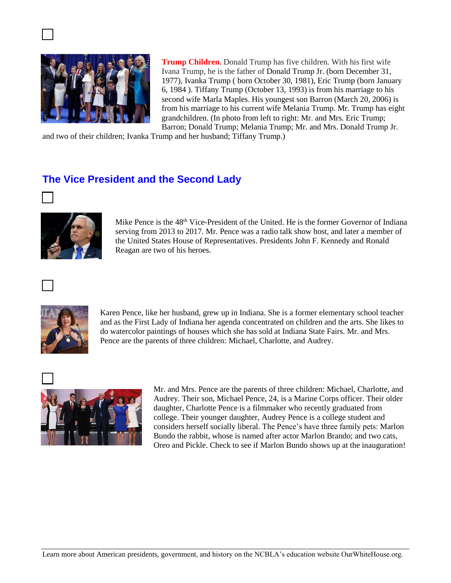

**Trump Children.** Donald Trump has five children. With his first wife Ivana Trump, he is the father of Donald Trump Jr. (born December 31, 1977), Ivanka Trump ( born October 30, 1981), Eric Trump (born January 6, 1984 ). Tiffany Trump (October 13, 1993) is from his marriage to his second wife Marla Maples. His youngest son Barron (March 20, 2006) is from his marriage to his current wife Melania Trump. Mr. Trump has eight grandchildren. (In photo from left to right: Mr. and Mrs. Eric Trump; Barron; Donald Trump; Melania Trump; Mr. and Mrs. Donald Trump Jr.

and two of their children; Ivanka Trump and her husband; Tiffany Trump.)

## **The Vice President and the Second Lady**





Mike Pence is the  $48<sup>th</sup>$  Vice-President of the United. He is the former Governor of Indiana serving from 2013 to 2017. Mr. Pence was a radio talk show host, and later a member of the United States House of Representatives. Presidents John F. Kennedy and Ronald Reagan are two of his heroes.





Karen Pence, like her husband, grew up in Indiana. She is a former elementary school teacher and as the First Lady of Indiana her agenda concentrated on children and the arts. She likes to do watercolor paintings of houses which she has sold at Indiana State Fairs. Mr. and Mrs. Pence are the parents of three children: Michael, Charlotte, and Audrey.



Mr. and Mrs. Pence are the parents of three children: Michael, Charlotte, and Audrey. Their son, Michael Pence, 24, is a Marine Corps officer. Their older daughter, Charlotte Pence is a filmmaker who recently graduated from college. Their younger daughter, Audrey Pence is a college student and considers herself socially liberal. The Pence's have three family pets: Marlon Bundo the rabbit, whose is named after actor Marlon Brando; and two cats, Oreo and Pickle. Check to see if Marlon Bundo shows up at the inauguration!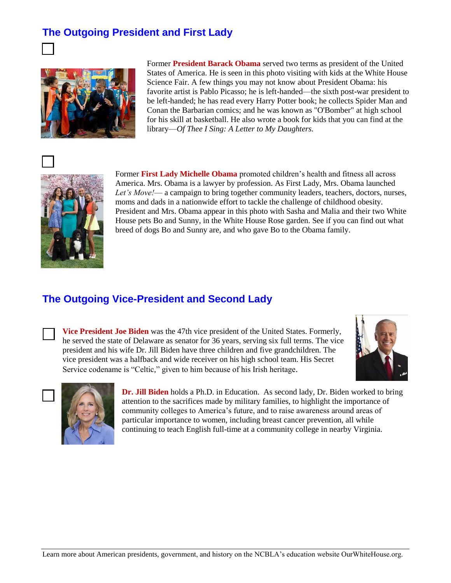## **The Outgoing President and First Lady**



Former **President Barack Obama** served two terms as president of the United States of America. He is seen in this photo visiting with kids at the White House Science Fair. A few things you may not know about President Obama: his favorite artist is Pablo Picasso; he is left-handed—the sixth post-war president to be left-handed; he has read every Harry Potter book; he collects Spider Man and Conan the Barbarian comics; and he was known as "O'Bomber" at high school for his skill at basketball. He also wrote a book for kids that you can find at the library—*Of Thee I Sing: A Letter to My Daughters.* 





Former **First Lady Michelle Obama** promoted children's health and fitness all across America. Mrs. Obama is a lawyer by profession. As First Lady, Mrs. Obama launched *[Let's Move!](http://letsmove.gov/)*— a campaign to bring together community leaders, teachers, doctors, nurses, moms and dads in a nationwide effort to tackle the challenge of childhood obesity. President and Mrs. Obama appear in this photo with Sasha and Malia and their two White House pets Bo and Sunny, in the White House Rose garden. See if you can find out what breed of dogs Bo and Sunny are, and who gave Bo to the Obama family.

### **The Outgoing Vice-President and Second Lady**



**Vice President Joe Biden** was the 47th vice president of the United States. Formerly, he served the state of Delaware as senator for 36 years, serving six full terms. The vice president and his wife Dr. Jill Biden have three children and five grandchildren. The vice president was a halfback and wide receiver on his high school team. His Secret Service codename is "Celtic," given to him because of his Irish heritage.





**Dr. Jill Biden** holds a Ph.D. in Education. As second lady, Dr. Biden worked to bring attention to the sacrifices made by military families, to highlight the importance of community colleges to America's future, and to raise awareness around areas of particular importance to women, including breast cancer prevention, all while continuing to teach English full-time at a community college in nearby Virginia.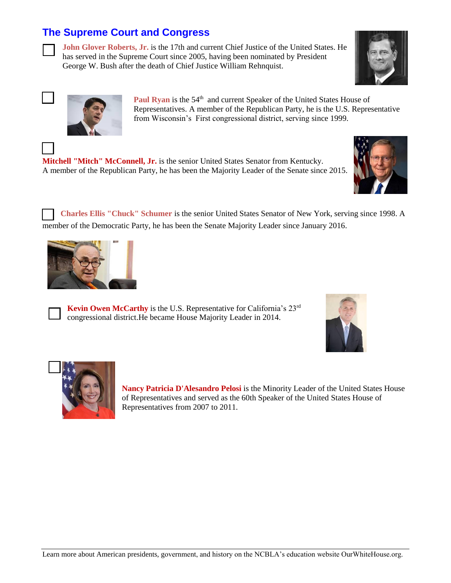## **The Supreme Court and Congress**

**John Glover Roberts, Jr.** is the 17th and current Chief Justice of the United States. He has served in the Supreme Court since 2005, having been nominated by President George W. Bush after the death of Chief Justice William Rehnquist.





**Paul Ryan** is the 54<sup>th</sup> and current Speaker of the United States House of Representatives. A member of the Republican Party, he is the U.S. Representative from Wisconsin's First congressional district, serving since 1999.





**Charles Ellis "Chuck" Schumer** is the senior United States Senator of New York, serving since 1998. A member of the Democratic Party, he has been the Senate Majority Leader since January 2016.





**Kevin Owen McCarthy** is the U.S. Representative for California's 23<sup>rd</sup> congressional district.He became House Majority Leader in 2014.





**Nancy Patricia D'Alesandro Pelosi** is the Minority Leader of the United States House of Representatives and served as the 60th Speaker of the United States House of Representatives from 2007 to 2011.